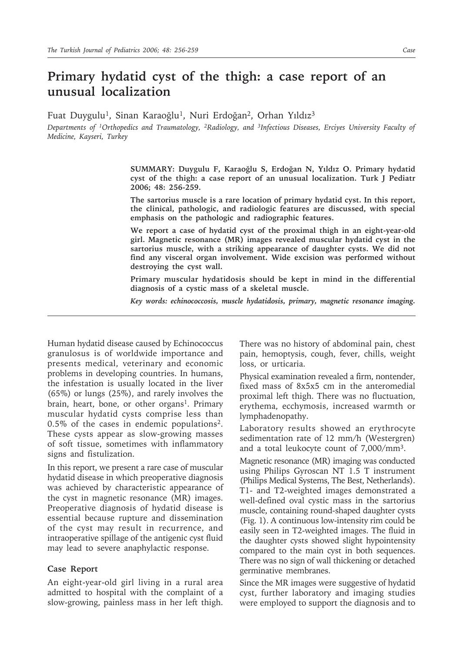Fuat Duygulu<sup>1</sup>, Sinan Karaoğlu<sup>1</sup>, Nuri Erdoğan<sup>2</sup>, Orhan Yıldız<sup>3</sup>

*Departments of 1Orthopedics and Traumatology, 2Radiology, and 3Infectious Diseases, Erciyes University Faculty of Medicine, Kayseri, Turkey*

> **SUMMARY: Duygulu F, Karaoğlu S, Erdoğan N, Yıldız O. Primary hydatid cyst of the thigh: a case report of an unusual localization. Turk J Pediatr 2006; 48: 256-259.**

> **The sartorius muscle is a rare location of primary hydatid cyst. In this report, the clinical, pathologic, and radiologic features are discussed, with special emphasis on the pathologic and radiographic features.**

> **We report a case of hydatid cyst of the proximal thigh in an eight-year-old girl. Magnetic resonance (MR) images revealed muscular hydatid cyst in the sartorius muscle, with a striking appearance of daughter cysts. We did not find any visceral organ involvement. Wide excision was performed without destroying the cyst wall.**

> **Primary muscular hydatidosis should be kept in mind in the differential diagnosis of a cystic mass of a skeletal muscle.**

> *Key words: echinococcosis, muscle hydatidosis, primary, magnetic resonance imaging.*

Human hydatid disease caused by Echinococcus granulosus is of worldwide importance and presents medical, veterinary and economic problems in developing countries. In humans, the infestation is usually located in the liver (65%) or lungs (25%), and rarely involves the brain, heart, bone, or other organs<sup>1</sup>. Primary muscular hydatid cysts comprise less than  $0.5\%$  of the cases in endemic populations<sup>2</sup>. These cysts appear as slow-growing masses of soft tissue, sometimes with inflammatory signs and fistulization.

In this report, we present a rare case of muscular hydatid disease in which preoperative diagnosis was achieved by characteristic appearance of the cyst in magnetic resonance (MR) images. Preoperative diagnosis of hydatid disease is essential because rupture and dissemination of the cyst may result in recurrence, and intraoperative spillage of the antigenic cyst fluid may lead to severe anaphylactic response.

## **Case Report**

An eight-year-old girl living in a rural area admitted to hospital with the complaint of a slow-growing, painless mass in her left thigh. There was no history of abdominal pain, chest pain, hemoptysis, cough, fever, chills, weight loss, or urticaria.

Physical examination revealed a firm, nontender, fixed mass of 8x5x5 cm in the anteromedial proximal left thigh. There was no fluctuation, erythema, ecchymosis, increased warmth or lymphadenopathy.

Laboratory results showed an erythrocyte sedimentation rate of 12 mm/h (Westergren) and a total leukocyte count of 7,000/mm3.

Magnetic resonance (MR) imaging was conducted using Philips Gyroscan NT 1.5 T instrument (Philips Medical Systems, The Best, Netherlands). T1- and T2-weighted images demonstrated a well-defined oval cystic mass in the sartorius muscle, containing round-shaped daughter cysts (Fig. 1). A continuous low-intensity rim could be easily seen in T2-weighted images. The fluid in the daughter cysts showed slight hypointensity compared to the main cyst in both sequences. There was no sign of wall thickening or detached germinative membranes.

Since the MR images were suggestive of hydatid cyst, further laboratory and imaging studies were employed to support the diagnosis and to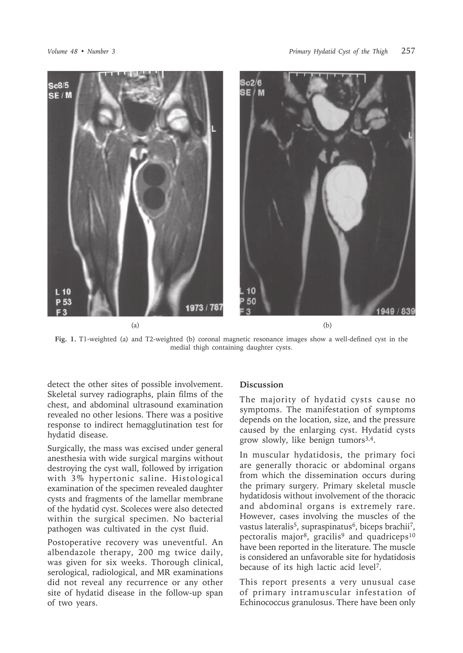

**Fig. 1.** T1-weighted (a) and T2-weighted (b) coronal magnetic resonance images show a well-defined cyst in the medial thigh containing daughter cysts.

detect the other sites of possible involvement. Skeletal survey radiographs, plain films of the chest, and abdominal ultrasound examination revealed no other lesions. There was a positive response to indirect hemagglutination test for hydatid disease.

Surgically, the mass was excised under general anesthesia with wide surgical margins without destroying the cyst wall, followed by irrigation with 3% hypertonic saline. Histological examination of the specimen revealed daughter cysts and fragments of the lamellar membrane of the hydatid cyst. Scoleces were also detected within the surgical specimen. No bacterial pathogen was cultivated in the cyst fluid.

Postoperative recovery was uneventful. An albendazole therapy, 200 mg twice daily, was given for six weeks. Thorough clinical, serological, radiological, and MR examinations did not reveal any recurrence or any other site of hydatid disease in the follow-up span of two years.

## **Discussion**

The majority of hydatid cysts cause no symptoms. The manifestation of symptoms depends on the location, size, and the pressure caused by the enlarging cyst. Hydatid cysts grow slowly, like benign tumors $3,4$ .

In muscular hydatidosis, the primary foci are generally thoracic or abdominal organs from which the dissemination occurs during the primary surgery. Primary skeletal muscle hydatidosis without involvement of the thoracic and abdominal organs is extremely rare. However, cases involving the muscles of the vastus lateralis<sup>5</sup>, supraspinatus<sup>6</sup>, biceps brachii<sup>7</sup>, pectoralis major<sup>8</sup>, gracilis<sup>9</sup> and quadriceps<sup>10</sup> have been reported in the literature. The muscle is considered an unfavorable site for hydatidosis because of its high lactic acid level7.

This report presents a very unusual case of primary intramuscular infestation of Echinococcus granulosus. There have been only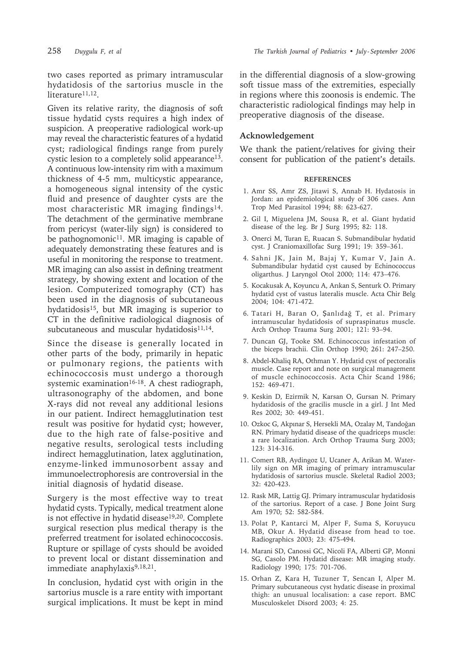258 *Duygulu F, et al The Turkish Journal of Pediatrics • July - September 2006*

two cases reported as primary intramuscular hydatidosis of the sartorius muscle in the literature<sup>11,12</sup>.

Given its relative rarity, the diagnosis of soft tissue hydatid cysts requires a high index of suspicion. A preoperative radiological work-up may reveal the characteristic features of a hydatid cyst; radiological findings range from purely cystic lesion to a completely solid appearance<sup>13</sup>. A continuous low-intensity rim with a maximum thickness of 4-5 mm, multicystic appearance, a homogeneous signal intensity of the cystic fluid and presence of daughter cysts are the most characteristic MR imaging findings<sup>14</sup>. The detachment of the germinative membrane from pericyst (water-lily sign) is considered to be pathognomonic<sup>11</sup>. MR imaging is capable of adequately demonstrating these features and is useful in monitoring the response to treatment. MR imaging can also assist in defining treatment strategy, by showing extent and location of the lesion. Computerized tomography (CT) has been used in the diagnosis of subcutaneous hydatidosis15, but MR imaging is superior to CT in the definitive radiological diagnosis of subcutaneous and muscular hydatidosis<sup>11,14</sup>.

Since the disease is generally located in other parts of the body, primarily in hepatic or pulmonary regions, the patients with echinococcosis must undergo a thorough systemic examination<sup>16-18</sup>. A chest radiograph, ultrasonography of the abdomen, and bone X-rays did not reveal any additional lesions in our patient. Indirect hemagglutination test result was positive for hydatid cyst; however, due to the high rate of false-positive and negative results, serological tests including indirect hemagglutination, latex agglutination, enzyme-linked immunosorbent assay and immunoelectrophoresis are controversial in the initial diagnosis of hydatid disease.

Surgery is the most effective way to treat hydatid cysts. Typically, medical treatment alone is not effective in hydatid disease<sup>19,20</sup>. Complete surgical resection plus medical therapy is the preferred treatment for isolated echinococcosis. Rupture or spillage of cysts should be avoided to prevent local or distant dissemination and immediate anaphylaxis<sup>9,18,21</sup>.

In conclusion, hydatid cyst with origin in the sartorius muscle is a rare entity with important surgical implications. It must be kept in mind in the differential diagnosis of a slow-growing soft tissue mass of the extremities, especially in regions where this zoonosis is endemic. The characteristic radiological findings may help in preoperative diagnosis of the disease.

## **Acknowledgement**

We thank the patient/relatives for giving their consent for publication of the patient's details.

## **REFERENCES**

- 1. Amr SS, Amr ZS, Jitawi S, Annab H. Hydatosis in Jordan: an epidemiological study of 306 cases. Ann Trop Med Parasitol 1994; 88: 623-627.
- 2. Gil I, Miguelena JM, Sousa R, et al. Giant hydatid disease of the leg. Br J Surg 1995; 82: 118.
- 3. Onerci M, Turan E, Ruacan S. Submandibular hydatid cyst. J Craniomaxillofac Surg 1991; 19: 359–361.
- 4. Sahni JK, Jain M, Bajaj Y, Kumar V, Jain A. Submandibular hydatid cyst caused by Echinococcus oligarthus. J Laryngol Otol 2000; 114: 473–476.
- 5. Kocakusak A, Koyuncu A, Arıkan S, Senturk O. Primary hydatid cyst of vastus lateralis muscle. Acta Chir Belg 2004; 104: 471-472.
- 6. Tatari H, Baran O, Șanlıdağ T, et al. Primary intramuscular hydatidosis of supraspinatus muscle. Arch Orthop Trauma Surg 2001; 121: 93–94.
- 7. Duncan GJ, Tooke SM. Echinococcus infestation of the biceps brachii. Clin Orthop 1990; 261: 247–250.
- 8. Abdel-Khaliq RA, Othman Y. Hydatid cyst of pectoralis muscle. Case report and note on surgical management of muscle echinococcosis. Acta Chir Scand 1986; 152: 469-471.
- 9. Keskin D, Ezirmik N, Karsan O, Gursan N. Primary hydatidosis of the gracilis muscle in a girl. J Int Med Res 2002; 30: 449-451.
- 10. Ozkoc G, Akpınar S, Hersekli MA, Ozalay M, Tandoğan RN. Primary hydatid disease of the quadriceps muscle: a rare localization. Arch Orthop Trauma Surg 2003; 123: 314-316.
- 11. Comert RB, Aydingoz U, Ucaner A, Arikan M. Waterlily sign on MR imaging of primary intramuscular hydatidosis of sartorius muscle. Skeletal Radiol 2003; 32: 420-423.
- 12. Rask MR, Lattig GJ. Primary intramuscular hydatidosis of the sartorius. Report of a case. J Bone Joint Surg Am 1970; 52: 582-584.
- 13. Polat P, Kantarci M, Alper F, Suma S, Koruyucu MB, Okur A. Hydatid disease from head to toe. Radiographics 2003; 23: 475-494.
- 14. Marani SD, Canossi GC, Nicoli FA, Alberti GP, Monni SG, Casolo PM. Hydatid disease: MR imaging study. Radiology 1990; 175: 701-706.
- 15. Orhan Z, Kara H, Tuzuner T, Sencan I, Alper M. Primary subcutaneous cyst hydatic disease in proximal thigh: an unusual localisation: a case report. BMC Musculoskelet Disord 2003; 4: 25.